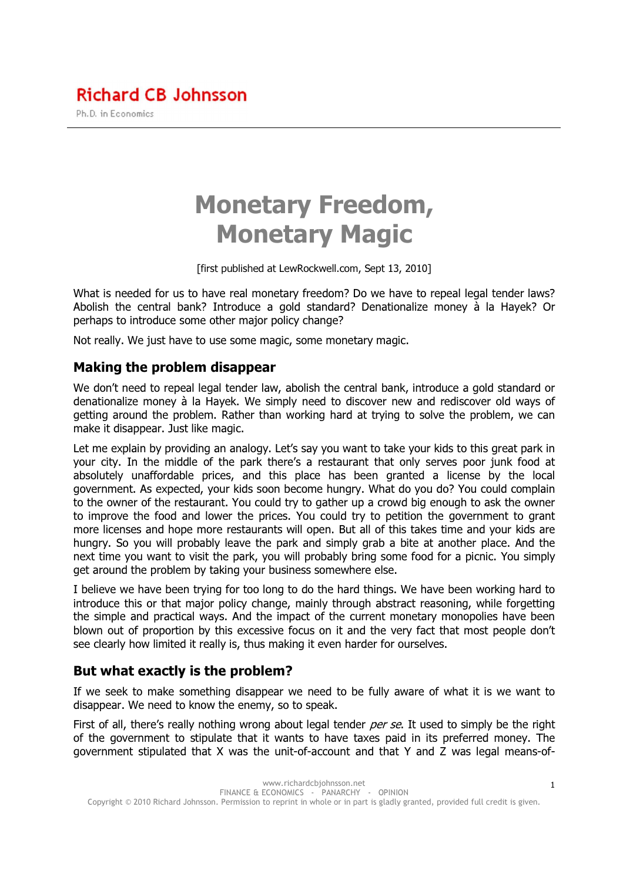# Monetary Freedom, Monetary Magic

[first published at LewRockwell.com, Sept 13, 2010]

What is needed for us to have real monetary freedom? Do we have to repeal legal tender laws? Abolish the central bank? Introduce a gold standard? Denationalize money à la Hayek? Or perhaps to introduce some other major policy change?

Not really. We just have to use some magic, some monetary magic.

### Making the problem disappear

We don't need to repeal legal tender law, abolish the central bank, introduce a gold standard or denationalize money à la Hayek. We simply need to discover new and rediscover old ways of getting around the problem. Rather than working hard at trying to solve the problem, we can make it disappear. Just like magic.

Let me explain by providing an analogy. Let's say you want to take your kids to this great park in your city. In the middle of the park there's a restaurant that only serves poor junk food at absolutely unaffordable prices, and this place has been granted a license by the local government. As expected, your kids soon become hungry. What do you do? You could complain to the owner of the restaurant. You could try to gather up a crowd big enough to ask the owner to improve the food and lower the prices. You could try to petition the government to grant more licenses and hope more restaurants will open. But all of this takes time and your kids are hungry. So you will probably leave the park and simply grab a bite at another place. And the next time you want to visit the park, you will probably bring some food for a picnic. You simply get around the problem by taking your business somewhere else.

I believe we have been trying for too long to do the hard things. We have been working hard to introduce this or that major policy change, mainly through abstract reasoning, while forgetting the simple and practical ways. And the impact of the current monetary monopolies have been blown out of proportion by this excessive focus on it and the very fact that most people don't see clearly how limited it really is, thus making it even harder for ourselves.

## But what exactly is the problem?

If we seek to make something disappear we need to be fully aware of what it is we want to disappear. We need to know the enemy, so to speak.

First of all, there's really nothing wrong about legal tender per se. It used to simply be the right of the government to stipulate that it wants to have taxes paid in its preferred money. The government stipulated that X was the unit-of-account and that Y and Z was legal means-of-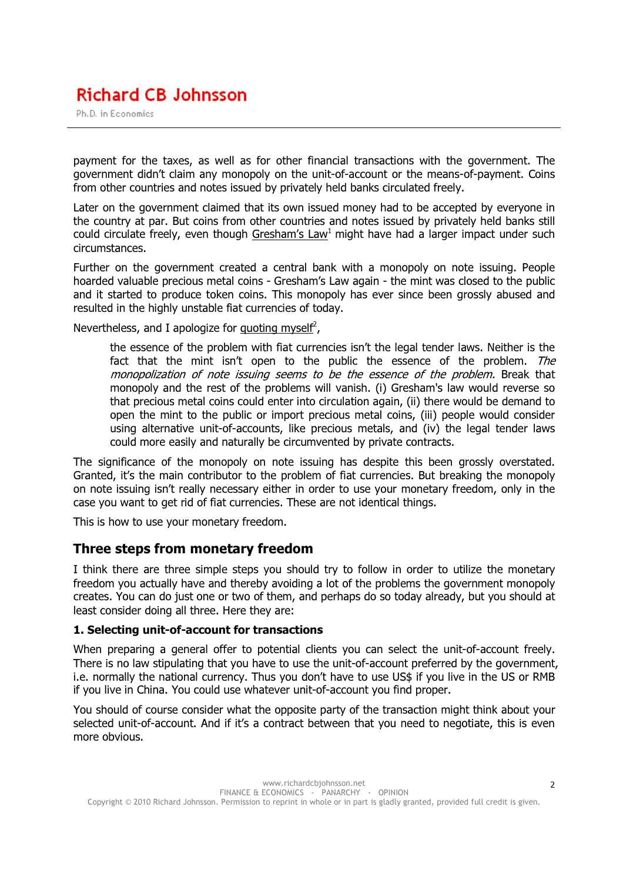# **Richard CB Johnsson**

Ph.D. in Economics

payment for the taxes, as well as for other financial transactions with the government. The government didn't claim any monopoly on the unit-of-account or the means-of-payment. Coins from other countries and notes issued by privately held banks circulated freely.

Later on the government claimed that its own issued money had to be accepted by everyone in the country at par. But coins from other countries and notes issued by privately held banks still could circulate freely, even though Gresham's Law<sup>1</sup> might have had a larger impact under such circumstances.

Further on the government created a central bank with a monopoly on note issuing. People hoarded valuable precious metal coins - Gresham's Law again - the mint was closed to the public and it started to produce token coins. This monopoly has ever since been grossly abused and resulted in the highly unstable fiat currencies of today.

Nevertheless, and I apologize for quoting myself<sup>2</sup>,

the essence of the problem with fiat currencies isn't the legal tender laws. Neither is the fact that the mint isn't open to the public the essence of the problem. The monopolization of note issuing seems to be the essence of the problem. Break that monopoly and the rest of the problems will vanish. (i) Gresham's law would reverse so that precious metal coins could enter into circulation again, (ii) there would be demand to open the mint to the public or import precious metal coins, (iii) people would consider using alternative unit-of-accounts, like precious metals, and (iv) the legal tender laws could more easily and naturally be circumvented by private contracts.

The significance of the monopoly on note issuing has despite this been grossly overstated. Granted, it's the main contributor to the problem of fiat currencies. But breaking the monopoly on note issuing isn't really necessary either in order to use your monetary freedom, only in the case you want to get rid of fiat currencies. These are not identical things.

This is how to use your monetary freedom.

### Three steps from monetary freedom

I think there are three simple steps you should try to follow in order to utilize the monetary freedom you actually have and thereby avoiding a lot of the problems the government monopoly creates. You can do just one or two of them, and perhaps do so today already, but you should at least consider doing all three. Here they are:

#### 1. Selecting unit-of-account for transactions

When preparing a general offer to potential clients you can select the unit-of-account freely. There is no law stipulating that you have to use the unit-of-account preferred by the government, i.e. normally the national currency. Thus you don't have to use US\$ if you live in the US or RMB if you live in China. You could use whatever unit-of-account you find proper.

You should of course consider what the opposite party of the transaction might think about your selected unit-of-account. And if it's a contract between that you need to negotiate, this is even more obvious.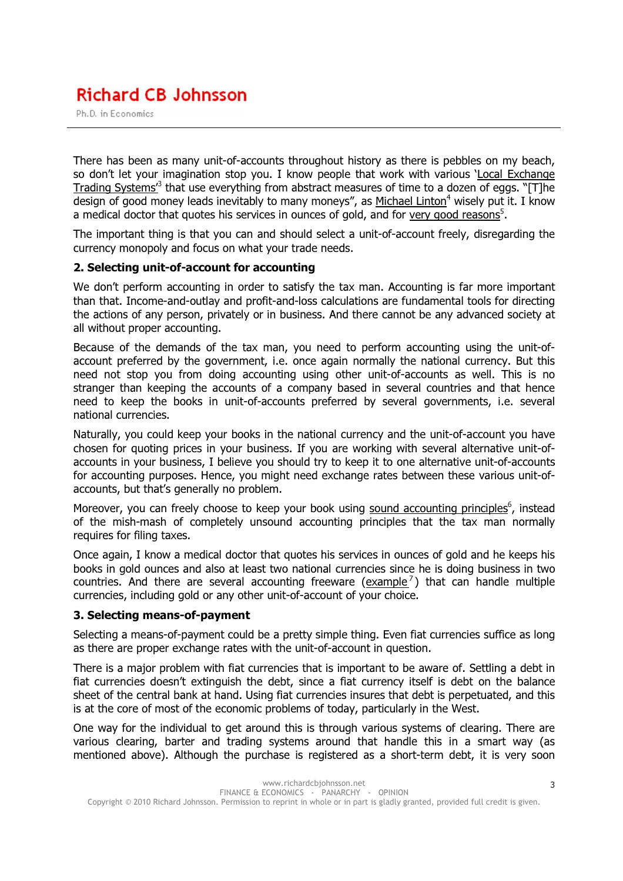# **Richard CB Johnsson**

Ph.D. in Economics

There has been as many unit-of-accounts throughout history as there is pebbles on my beach, so don't let your imagination stop you. I know people that work with various 'Local Exchange Trading Systems<sup>3</sup> that use everything from abstract measures of time to a dozen of eggs. "[T]he design of good money leads inevitably to many moneys", as Michael Linton<sup>4</sup> wisely put it. I know a medical doctor that quotes his services in ounces of gold, and for very good reasons<sup>5</sup>.

The important thing is that you can and should select a unit-of-account freely, disregarding the currency monopoly and focus on what your trade needs.

#### 2. Selecting unit-of-account for accounting

We don't perform accounting in order to satisfy the tax man. Accounting is far more important than that. Income-and-outlay and profit-and-loss calculations are fundamental tools for directing the actions of any person, privately or in business. And there cannot be any advanced society at all without proper accounting.

Because of the demands of the tax man, you need to perform accounting using the unit-ofaccount preferred by the government, i.e. once again normally the national currency. But this need not stop you from doing accounting using other unit-of-accounts as well. This is no stranger than keeping the accounts of a company based in several countries and that hence need to keep the books in unit-of-accounts preferred by several governments, i.e. several national currencies.

Naturally, you could keep your books in the national currency and the unit-of-account you have chosen for quoting prices in your business. If you are working with several alternative unit-ofaccounts in your business, I believe you should try to keep it to one alternative unit-of-accounts for accounting purposes. Hence, you might need exchange rates between these various unit-ofaccounts, but that's generally no problem.

Moreover, you can freely choose to keep your book using sound accounting principles<sup>6</sup>, instead of the mish-mash of completely unsound accounting principles that the tax man normally requires for filing taxes.

Once again, I know a medical doctor that quotes his services in ounces of gold and he keeps his books in gold ounces and also at least two national currencies since he is doing business in two countries. And there are several accounting freeware  $\frac{example^7}{}$  that can handle multiple currencies, including gold or any other unit-of-account of your choice.

#### 3. Selecting means-of-payment

Selecting a means-of-payment could be a pretty simple thing. Even fiat currencies suffice as long as there are proper exchange rates with the unit-of-account in question.

There is a major problem with fiat currencies that is important to be aware of. Settling a debt in fiat currencies doesn't extinguish the debt, since a fiat currency itself is debt on the balance sheet of the central bank at hand. Using fiat currencies insures that debt is perpetuated, and this is at the core of most of the economic problems of today, particularly in the West.

One way for the individual to get around this is through various systems of clearing. There are various clearing, barter and trading systems around that handle this in a smart way (as mentioned above). Although the purchase is registered as a short-term debt, it is very soon